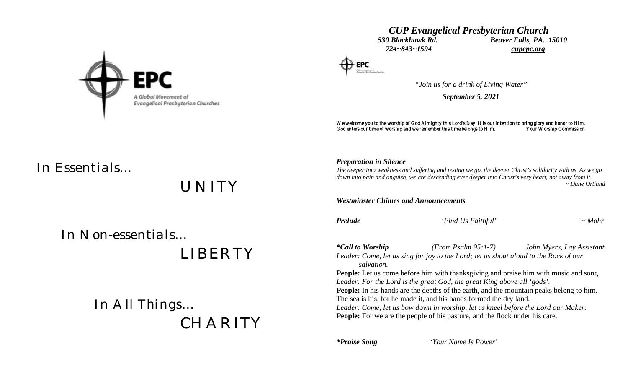

### *CUP Evangelical Presbyterian Church 530 Blackhawk Rd. Beaver Falls, PA. 15010 724~843~1594 cupepc.org*

*Preparation in Silence*

*"Join us for a drink of Living Water"*

*September 5, 2021*

We welcome you to the worship of God Almighty this Lord's Day. It is our intention to bring glory and honor to Him.<br>God enters our time of worship and we remember this time belongs to Him. Your Worship Commission God enters our time of worship and we remember this time belongs to Him.

# *In Essentials…*

*UNITY*

 *In Non-essentials…*

 *LIBERTY*

 *In All Things… CHARITY*

## *The deeper into weakness and suffering and testing we go, the deeper Christ's solidarity with us. As we go down into pain and anguish, we are descending ever deeper into Christ's very heart, not away from it. ~ Dane Ortlund Westminster Chimes and Announcements Prelude 'Find Us Faithful' ~ Mohr \*Call to Worship (From Psalm 95:1-7) John Myers, Lay Assistant Leader: Come, let us sing for joy to the Lord; let us shout aloud to the Rock of our salvation.* **People:** Let us come before him with thanksgiving and praise him with music and song. *Leader: For the Lord is the great God, the great King above all 'gods'.* **People:** In his hands are the depths of the earth, and the mountain peaks belong to him. The sea is his, for he made it, and his hands formed the dry land. *Leader: Come, let us bow down in worship, let us kneel before the Lord our Maker.*

**People:** For we are the people of his pasture, and the flock under his care.

*\*Praise Song 'Your Name Is Power'*